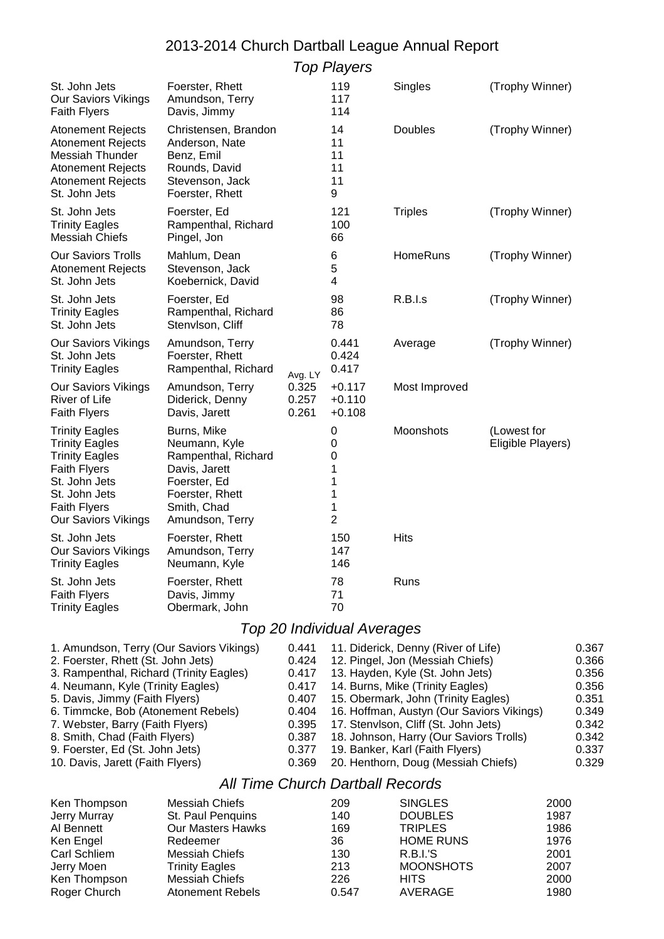|                                                                                                                                                                                       |                                                                                                                                           |                         | <b>Top Players</b>                                |                |                                  |
|---------------------------------------------------------------------------------------------------------------------------------------------------------------------------------------|-------------------------------------------------------------------------------------------------------------------------------------------|-------------------------|---------------------------------------------------|----------------|----------------------------------|
| St. John Jets<br>Our Saviors Vikings<br><b>Faith Flyers</b>                                                                                                                           | Foerster, Rhett<br>Amundson, Terry<br>Davis, Jimmy                                                                                        |                         | 119<br>117<br>114                                 | Singles        | (Trophy Winner)                  |
| <b>Atonement Rejects</b><br><b>Atonement Rejects</b><br><b>Messiah Thunder</b><br><b>Atonement Rejects</b><br><b>Atonement Rejects</b><br>St. John Jets                               | Christensen, Brandon<br>Anderson, Nate<br>Benz, Emil<br>Rounds, David<br>Stevenson, Jack<br>Foerster, Rhett                               |                         | 14<br>11<br>11<br>11<br>11<br>9                   | <b>Doubles</b> | (Trophy Winner)                  |
| St. John Jets<br><b>Trinity Eagles</b><br><b>Messiah Chiefs</b>                                                                                                                       | Foerster, Ed<br>Rampenthal, Richard<br>Pingel, Jon                                                                                        |                         | 121<br>100<br>66                                  | <b>Triples</b> | (Trophy Winner)                  |
| <b>Our Saviors Trolls</b><br><b>Atonement Rejects</b><br>St. John Jets                                                                                                                | Mahlum, Dean<br>Stevenson, Jack<br>Koebernick, David                                                                                      |                         | 6<br>5<br>4                                       | HomeRuns       | (Trophy Winner)                  |
| St. John Jets<br><b>Trinity Eagles</b><br>St. John Jets                                                                                                                               | Foerster, Ed<br>Rampenthal, Richard<br>Stenvlson, Cliff                                                                                   |                         | 98<br>86<br>78                                    | R.B.I.s        | (Trophy Winner)                  |
| Our Saviors Vikings<br>St. John Jets<br><b>Trinity Eagles</b>                                                                                                                         | Amundson, Terry<br>Foerster, Rhett<br>Rampenthal, Richard                                                                                 | Avg. LY                 | 0.441<br>0.424<br>0.417                           | Average        | (Trophy Winner)                  |
| <b>Our Saviors Vikings</b><br><b>River of Life</b><br><b>Faith Flyers</b>                                                                                                             | Amundson, Terry<br>Diderick, Denny<br>Davis, Jarett                                                                                       | 0.325<br>0.257<br>0.261 | $+0.117$<br>$+0.110$<br>$+0.108$                  | Most Improved  |                                  |
| <b>Trinity Eagles</b><br><b>Trinity Eagles</b><br><b>Trinity Eagles</b><br><b>Faith Flyers</b><br>St. John Jets<br>St. John Jets<br><b>Faith Flyers</b><br><b>Our Saviors Vikings</b> | Burns, Mike<br>Neumann, Kyle<br>Rampenthal, Richard<br>Davis, Jarett<br>Foerster, Ed<br>Foerster, Rhett<br>Smith, Chad<br>Amundson, Terry |                         | 0<br>0<br>0<br>1<br>1<br>1<br>1<br>$\overline{2}$ | Moonshots      | (Lowest for<br>Eligible Players) |
| St. John Jets<br><b>Our Saviors Vikings</b><br><b>Trinity Eagles</b>                                                                                                                  | Foerster, Rhett<br>Amundson, Terry<br>Neumann, Kyle                                                                                       |                         | 150<br>147<br>146                                 | <b>Hits</b>    |                                  |
| St. John Jets<br><b>Faith Flyers</b><br><b>Trinity Eagles</b>                                                                                                                         | Foerster, Rhett<br>Davis, Jimmy<br>Obermark, John                                                                                         |                         | 78<br>71<br>70                                    | Runs           |                                  |

## 2013-2014 Church Dartball League Annual Report

7. Webster, Barry (Faith Flyers) 0.395 17. Stenvlson, Cliff (St. John Jets) 0.342 8. Smith, Chad (Faith Flyers) 0.387 18. Johnson, Harry (Our Saviors Trolls) 0.342<br>9. Foerster, Ed (St. John Jets) 0.377 19. Banker, Karl (Faith Flyers) 0.337 9. Foerster, Ed (St. John Jets) 0.377 19. Banker, Karl (Faith Flyers)<br>10. Davis, Jarett (Faith Flyers) 0.369 20. Henthorn, Doug (Messiah

20. Henthorn, Doug (Messiah Chiefs) 0.329

1. Amundson, Terry (Our Saviors Vikings) 0.441 11. Diderick, Denny (River of Life) 0.367 2. Foerster, Rhett (St. John Jets) 0.424 12. Pingel, Jon (Messiah Chiefs) 0.366 3. Rampenthal, Richard (Trinity Eagles) 0.417 13. Hayden, Kyle (St. John Jets) 0.356 4. Neumann, Kyle (Trinity Eagles) 0.417 14. Burns, Mike (Trinity Eagles) 0.356 5. Davis, Jimmy (Faith Flyers) 0.407 15. Obermark, John (Trinity Eagles) 0.351 6. Timmcke, Bob (Atonement Rebels) 0.404 16. Hoffman, Austyn (Our Saviors Vikings) 0.349

Top 20 Individual Averages

## All Time Church Dartball Records

| Ken Thompson | Messiah Chiefs           | 209   | <b>SINGLES</b>   | 2000 |
|--------------|--------------------------|-------|------------------|------|
| Jerry Murray | St. Paul Penquins        | 140   | <b>DOUBLES</b>   | 1987 |
| Al Bennett   | <b>Our Masters Hawks</b> | 169   | <b>TRIPLES</b>   | 1986 |
| Ken Engel    | Redeemer                 | 36    | <b>HOME RUNS</b> | 1976 |
| Carl Schliem | Messiah Chiefs           | 130   | <b>R.B.I.'S</b>  | 2001 |
| Jerry Moen   | <b>Trinity Eagles</b>    | 213   | <b>MOONSHOTS</b> | 2007 |
| Ken Thompson | Messiah Chiefs           | 226   | <b>HITS</b>      | 2000 |
| Roger Church | <b>Atonement Rebels</b>  | 0.547 | AVERAGE          | 1980 |